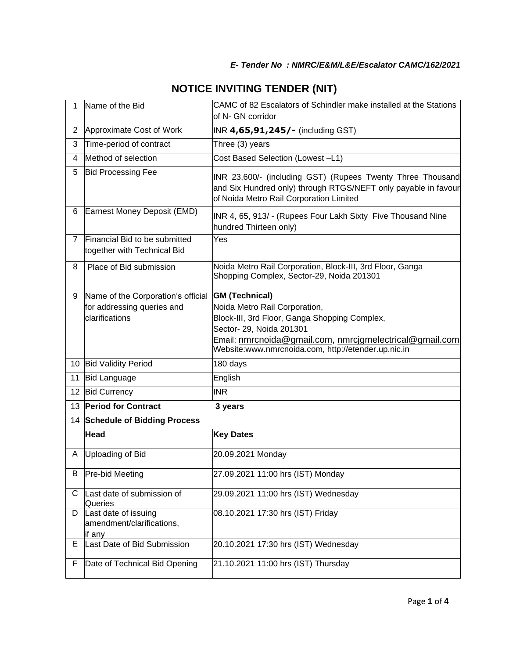| $\mathbf{1}$ | Name of the Bid                                              | CAMC of 82 Escalators of Schindler make installed at the Stations<br>of N- GN corridor                                                                                  |  |  |
|--------------|--------------------------------------------------------------|-------------------------------------------------------------------------------------------------------------------------------------------------------------------------|--|--|
| 2            | Approximate Cost of Work                                     | INR 4,65,91,245/- (including GST)                                                                                                                                       |  |  |
| 3            | Time-period of contract                                      | Three (3) years                                                                                                                                                         |  |  |
| 4            | Method of selection                                          | Cost Based Selection (Lowest-L1)                                                                                                                                        |  |  |
| 5            | <b>Bid Processing Fee</b>                                    | INR 23,600/- (including GST) (Rupees Twenty Three Thousand<br>and Six Hundred only) through RTGS/NEFT only payable in favour<br>of Noida Metro Rail Corporation Limited |  |  |
| 6            | Earnest Money Deposit (EMD)                                  | INR 4, 65, 913/ - (Rupees Four Lakh Sixty Five Thousand Nine<br>hundred Thirteen only)                                                                                  |  |  |
| $7^{\circ}$  | Financial Bid to be submitted<br>together with Technical Bid | Yes                                                                                                                                                                     |  |  |
| 8            | Place of Bid submission                                      | Noida Metro Rail Corporation, Block-III, 3rd Floor, Ganga<br>Shopping Complex, Sector-29, Noida 201301                                                                  |  |  |
| 9            | Name of the Corporation's official                           | <b>GM (Technical)</b>                                                                                                                                                   |  |  |
|              | for addressing queries and<br>clarifications                 | Noida Metro Rail Corporation,                                                                                                                                           |  |  |
|              |                                                              | Block-III, 3rd Floor, Ganga Shopping Complex,<br>Sector- 29, Noida 201301                                                                                               |  |  |
|              |                                                              | Email: nmrcnoida@gmail.com, nmrcjgmelectrical@gmail.com<br>Website:www.nmrcnoida.com, http://etender.up.nic.in                                                          |  |  |
|              | 10 Bid Validity Period                                       | 180 days                                                                                                                                                                |  |  |
| 11           | <b>Bid Language</b>                                          | English                                                                                                                                                                 |  |  |
|              | 12 Bid Currency                                              | <b>INR</b>                                                                                                                                                              |  |  |
|              | 13 Period for Contract                                       | 3 years                                                                                                                                                                 |  |  |
|              | 14 Schedule of Bidding Process                               |                                                                                                                                                                         |  |  |
|              | <b>Head</b>                                                  | <b>Key Dates</b>                                                                                                                                                        |  |  |
| A            | Uploading of Bid                                             | 20.09.2021 Monday                                                                                                                                                       |  |  |
| в            | <b>Pre-bid Meeting</b>                                       | 27.09.2021 11:00 hrs (IST) Monday                                                                                                                                       |  |  |
| С            | Last date of submission of<br>Queries                        | 29.09.2021 11:00 hrs (IST) Wednesday                                                                                                                                    |  |  |
| D            | Last date of issuing<br>amendment/clarifications,<br>if any  | 08.10.2021 17:30 hrs (IST) Friday                                                                                                                                       |  |  |
| Е            | Last Date of Bid Submission                                  | 20.10.2021 17:30 hrs (IST) Wednesday                                                                                                                                    |  |  |
| F            | Date of Technical Bid Opening                                | 21.10.2021 11:00 hrs (IST) Thursday                                                                                                                                     |  |  |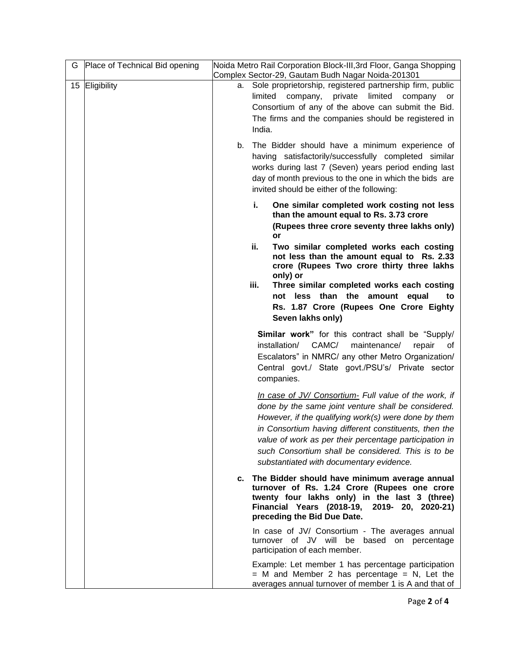| G | Place of Technical Bid opening | Noida Metro Rail Corporation Block-III, 3rd Floor, Ganga Shopping<br>Complex Sector-29, Gautam Budh Nagar Noida-201301                                                                                                                                                                                                                                                                    |
|---|--------------------------------|-------------------------------------------------------------------------------------------------------------------------------------------------------------------------------------------------------------------------------------------------------------------------------------------------------------------------------------------------------------------------------------------|
|   | 15 Eligibility                 | a. Sole proprietorship, registered partnership firm, public<br>limited<br>company, private<br>limited<br>company<br>or<br>Consortium of any of the above can submit the Bid.<br>The firms and the companies should be registered in<br>India.                                                                                                                                             |
|   |                                | b. The Bidder should have a minimum experience of<br>having satisfactorily/successfully completed similar<br>works during last 7 (Seven) years period ending last<br>day of month previous to the one in which the bids are<br>invited should be either of the following:                                                                                                                 |
|   |                                | i.<br>One similar completed work costing not less<br>than the amount equal to Rs. 3.73 crore<br>(Rupees three crore seventy three lakhs only)<br>or                                                                                                                                                                                                                                       |
|   |                                | Two similar completed works each costing<br>ii.<br>not less than the amount equal to Rs. 2.33<br>crore (Rupees Two crore thirty three lakhs<br>only) or                                                                                                                                                                                                                                   |
|   |                                | iii.<br>Three similar completed works each costing<br>not less than the amount equal<br>to<br>Rs. 1.87 Crore (Rupees One Crore Eighty<br>Seven lakhs only)                                                                                                                                                                                                                                |
|   |                                | <b>Similar work"</b> for this contract shall be "Supply/<br>CAMC/<br>installation/<br>maintenance/<br>repair<br>0t<br>Escalators" in NMRC/ any other Metro Organization/<br>Central govt./ State govt./PSU's/ Private sector<br>companies.                                                                                                                                                |
|   |                                | In case of JV/ Consortium- Full value of the work, if<br>done by the same joint venture shall be considered.<br>However, if the qualifying work(s) were done by them<br>in Consortium having different constituents, then the<br>value of work as per their percentage participation in<br>such Consortium shall be considered. This is to be<br>substantiated with documentary evidence. |
|   |                                | c. The Bidder should have minimum average annual<br>turnover of Rs. 1.24 Crore (Rupees one crore<br>twenty four lakhs only) in the last 3 (three)<br>Financial Years (2018-19, 2019- 20, 2020-21)<br>preceding the Bid Due Date.                                                                                                                                                          |
|   |                                | In case of JV/ Consortium - The averages annual<br>turnover of JV will be based on percentage<br>participation of each member.                                                                                                                                                                                                                                                            |
|   |                                | Example: Let member 1 has percentage participation<br>$=$ M and Member 2 has percentage $=$ N, Let the<br>averages annual turnover of member 1 is A and that of                                                                                                                                                                                                                           |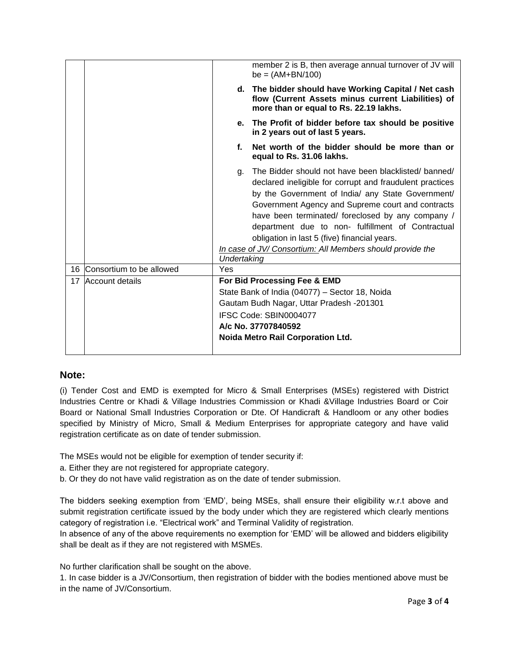|    |                             |                                                                                                                                                                                                                         | member 2 is B, then average annual turnover of JV will<br>$be = (AM+BN/100)$                                                                                                                                                                                                                                                                                                                                                                     |
|----|-----------------------------|-------------------------------------------------------------------------------------------------------------------------------------------------------------------------------------------------------------------------|--------------------------------------------------------------------------------------------------------------------------------------------------------------------------------------------------------------------------------------------------------------------------------------------------------------------------------------------------------------------------------------------------------------------------------------------------|
|    |                             |                                                                                                                                                                                                                         | d. The bidder should have Working Capital / Net cash<br>flow (Current Assets minus current Liabilities) of<br>more than or equal to Rs. 22.19 lakhs.                                                                                                                                                                                                                                                                                             |
|    |                             |                                                                                                                                                                                                                         | e. The Profit of bidder before tax should be positive<br>in 2 years out of last 5 years.                                                                                                                                                                                                                                                                                                                                                         |
|    |                             | f.                                                                                                                                                                                                                      | Net worth of the bidder should be more than or<br>equal to Rs. 31.06 lakhs.                                                                                                                                                                                                                                                                                                                                                                      |
|    |                             | g.<br>Undertaking                                                                                                                                                                                                       | The Bidder should not have been blacklisted/banned/<br>declared ineligible for corrupt and fraudulent practices<br>by the Government of India/ any State Government/<br>Government Agency and Supreme court and contracts<br>have been terminated/ foreclosed by any company /<br>department due to non- fulfillment of Contractual<br>obligation in last 5 (five) financial years.<br>In case of JV/ Consortium: All Members should provide the |
|    | 16 Consortium to be allowed | Yes                                                                                                                                                                                                                     |                                                                                                                                                                                                                                                                                                                                                                                                                                                  |
| 17 | Account details             | For Bid Processing Fee & EMD<br>State Bank of India (04077) - Sector 18, Noida<br>Gautam Budh Nagar, Uttar Pradesh -201301<br>IFSC Code: SBIN0004077<br>A/c No. 37707840592<br><b>Noida Metro Rail Corporation Ltd.</b> |                                                                                                                                                                                                                                                                                                                                                                                                                                                  |

## **Note:**

(i) Tender Cost and EMD is exempted for Micro & Small Enterprises (MSEs) registered with District Industries Centre or Khadi & Village Industries Commission or Khadi &Village Industries Board or Coir Board or National Small Industries Corporation or Dte. Of Handicraft & Handloom or any other bodies specified by Ministry of Micro, Small & Medium Enterprises for appropriate category and have valid registration certificate as on date of tender submission.

The MSEs would not be eligible for exemption of tender security if:

- a. Either they are not registered for appropriate category.
- b. Or they do not have valid registration as on the date of tender submission.

The bidders seeking exemption from 'EMD', being MSEs, shall ensure their eligibility w.r.t above and submit registration certificate issued by the body under which they are registered which clearly mentions category of registration i.e. "Electrical work" and Terminal Validity of registration.

In absence of any of the above requirements no exemption for 'EMD' will be allowed and bidders eligibility shall be dealt as if they are not registered with MSMEs.

No further clarification shall be sought on the above.

1. In case bidder is a JV/Consortium, then registration of bidder with the bodies mentioned above must be in the name of JV/Consortium.